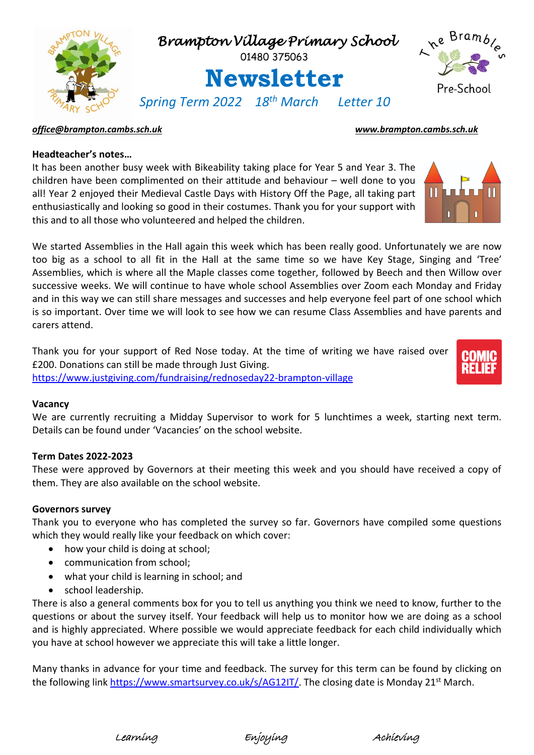

### *[office@brampton.cambs.sch.uk](mailto:office@brampton.cambs.sch.uk) [www.brampton.cambs.sch.uk](http://www.brampton.cambs.sch.uk/)*

# **Headteacher's notes…**

It has been another busy week with Bikeability taking place for Year 5 and Year 3. The children have been complimented on their attitude and behaviour – well done to you all! Year 2 enjoyed their Medieval Castle Days with History Off the Page, all taking part enthusiastically and looking so good in their costumes. Thank you for your support with this and to all those who volunteered and helped the children.

We started Assemblies in the Hall again this week which has been really good. Unfortunately we are now too big as a school to all fit in the Hall at the same time so we have Key Stage, Singing and 'Tree' Assemblies, which is where all the Maple classes come together, followed by Beech and then Willow over successive weeks. We will continue to have whole school Assemblies over Zoom each Monday and Friday and in this way we can still share messages and successes and help everyone feel part of one school which is so important. Over time we will look to see how we can resume Class Assemblies and have parents and carers attend.

Thank you for your support of Red Nose today. At the time of writing we have raised over £200. Donations can still be made through Just Giving. <https://www.justgiving.com/fundraising/rednoseday22-brampton-village>



#### **Vacancy**

We are currently recruiting a Midday Supervisor to work for 5 lunchtimes a week, starting next term. Details can be found under 'Vacancies' on the school website.

### **Term Dates 2022-2023**

These were approved by Governors at their meeting this week and you should have received a copy of them. They are also available on the school website.

#### **Governors survey**

Thank you to everyone who has completed the survey so far. Governors have compiled some questions which they would really like your feedback on which cover:

- how your child is doing at school;
- communication from school;
- what your child is learning in school; and
- school leadership.

There is also a general comments box for you to tell us anything you think we need to know, further to the questions or about the survey itself. Your feedback will help us to monitor how we are doing as a school and is highly appreciated. Where possible we would appreciate feedback for each child individually which you have at school however we appreciate this will take a little longer.

Many thanks in advance for your time and feedback. The survey for this term can be found by clicking on the following link [https://www.smartsurvey.co.uk/s/AG12IT/.](https://www.smartsurvey.co.uk/s/AG12IT/) The closing date is Monday 21st March.